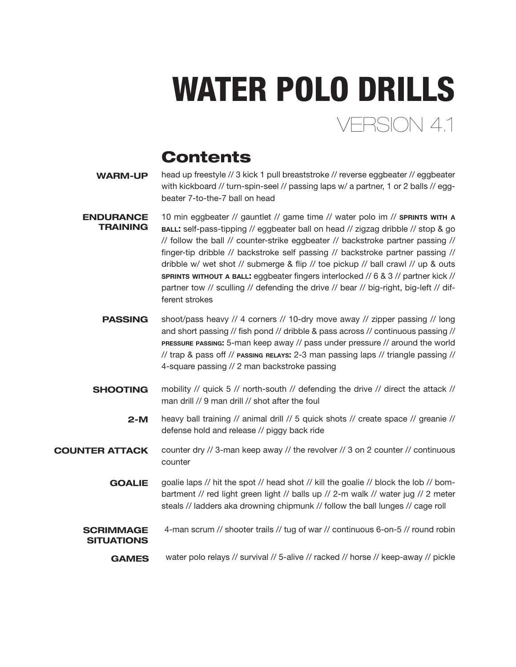# FRSION 4.1 WATER POLO DRILLS

### **Contents**

- WARM-UP head up freestyle // 3 kick 1 pull breaststroke // reverse eggbeater // eggbeater with kickboard // turn-spin-seel // passing laps w/ a partner, 1 or 2 balls // eggbeater 7-to-the-7 ball on head
- **ENDURANCE TRAINING** 10 min eggbeater // gauntlet // game time // water polo im // SPRINTS WITH A ball: self-pass-tipping // eggbeater ball on head // zigzag dribble // stop & go // follow the ball // counter-strike eggbeater // backstroke partner passing // finger-tip dribble // backstroke self passing // backstroke partner passing // dribble w/ wet shot // submerge & flip // toe pickup // ball crawl // up & outs sprints without a ball: eggbeater fingers interlocked // 6 & 3 // partner kick // partner tow // sculling // defending the drive // bear // big-right, big-left // different strokes
	- shoot/pass heavy // 4 corners // 10-dry move away // zipper passing // long and short passing // fish pond // dribble & pass across // continuous passing // pressure passing: 5-man keep away // pass under pressure // around the world // trap & pass off // passing relays: 2-3 man passing laps // triangle passing // 4-square passing // 2 man backstroke passing **PASSING**
	- **SHOOTING** mobility // quick 5 // north-south // defending the drive // direct the attack // man drill // 9 man drill // shot after the foul
		- heavy ball training // animal drill // 5 quick shots // create space // greanie // defense hold and release // piggy back ride 2-M
- counter dry // 3-man keep away // the revolver // 3 on 2 counter // continuous counter COUNTER ATTACK
	- goalie laps // hit the spot // head shot // kill the goalie // block the lob // bombartment // red light green light // balls up // 2-m walk // water jug // 2 meter steals // ladders aka drowning chipmunk // follow the ball lunges // cage roll **GOALIE**
	- 4-man scrum // shooter trails // tug of war // continuous 6-on-5 // round robin SCRIMMAGE **SITUATIONS**

GAMES water polo relays // survival // 5-alive // racked // horse // keep-away // pickle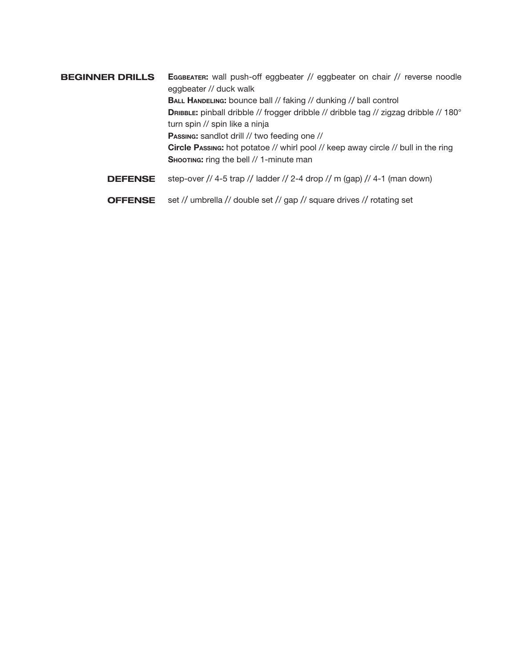Eggbeater: wall push-off eggbeater // eggbeater on chair // reverse noodle eggbeater // duck walk BALL HANDELING: bounce ball // faking // dunking // ball control DRIBBLE: pinball dribble // frogger dribble // dribble tag // zigzag dribble // 180° turn spin // spin like a ninja Passing: sandlot drill // two feeding one // Circle Passing: hot potatoe // whirl pool // keep away circle // bull in the ring SHOOTING: ring the bell // 1-minute man BEGINNER DRILLS DEFENSE step-over // 4-5 trap // ladder // 2-4 drop // m (gap) // 4-1 (man down)

OFFENSE set // umbrella // double set // gap // square drives // rotating set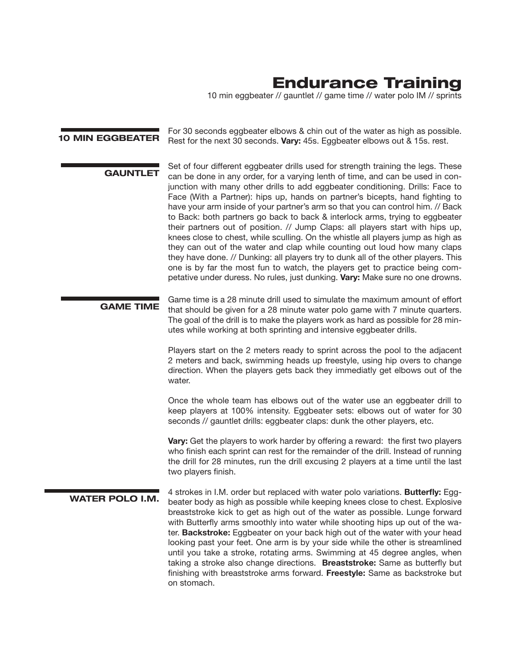### Endurance Training

10 min eggbeater // gauntlet // game time // water polo IM // sprints

For 30 seconds eggbeater elbows & chin out of the water as high as possible.<br>**10 MIN EGGBEATER** Best for the next 30 seconds **Many 45s** Eastboater elbows out 8.15s rest Rest for the next 30 seconds. Vary: 45s. Eggbeater elbows out & 15s. rest.

Set of four different eggbeater drills used for strength training the legs. These<br>
GAUNTLET see he dans in any order for a vanish lank of time and see he wood in age. can be done in any order, for a varying lenth of time, and can be used in conjunction with many other drills to add eggbeater conditioning. Drills: Face to Face (With a Partner): hips up, hands on partner's bicepts, hand fighting to have your arm inside of your partner's arm so that you can control him. // Back to Back: both partners go back to back & interlock arms, trying to eggbeater their partners out of position. // Jump Claps: all players start with hips up, knees close to chest, while sculling. On the whistle all players jump as high as they can out of the water and clap while counting out loud how many claps they have done. // Dunking: all players try to dunk all of the other players. This one is by far the most fun to watch, the players get to practice being competative under duress. No rules, just dunking. Vary: Make sure no one drowns.

GAME TIME Game time is a 28 minute drill used to simulate the maximum amount of effort that should be given for a 28 minute water polo game with 7 minute quarters. The goal of the drill is to make the players work as hard as possible for 28 minutes while working at both sprinting and intensive eggbeater drills.

> Players start on the 2 meters ready to sprint across the pool to the adjacent 2 meters and back, swimming heads up freestyle, using hip overs to change direction. When the players gets back they immediatly get elbows out of the water.

> Once the whole team has elbows out of the water use an eggbeater drill to keep players at 100% intensity. Eggbeater sets: elbows out of water for 30 seconds // gauntlet drills: eggbeater claps: dunk the other players, etc.

> Vary: Get the players to work harder by offering a reward: the first two players who finish each sprint can rest for the remainder of the drill. Instead of running the drill for 28 minutes, run the drill excusing 2 players at a time until the last two players finish.

4 strokes in I.M. order but replaced with water polo variations. Butterfly: Egg-<br>WATER POLO I.M. the started to start as a secret bushing lasses in a local start fundation beater body as high as possible while keeping knees close to chest. Explosive breaststroke kick to get as high out of the water as possible. Lunge forward with Butterfly arms smoothly into water while shooting hips up out of the water. Backstroke: Eggbeater on your back high out of the water with your head looking past your feet. One arm is by your side while the other is streamlined until you take a stroke, rotating arms. Swimming at 45 degree angles, when taking a stroke also change directions. Breaststroke: Same as butterfly but finishing with breaststroke arms forward. Freestyle: Same as backstroke but on stomach.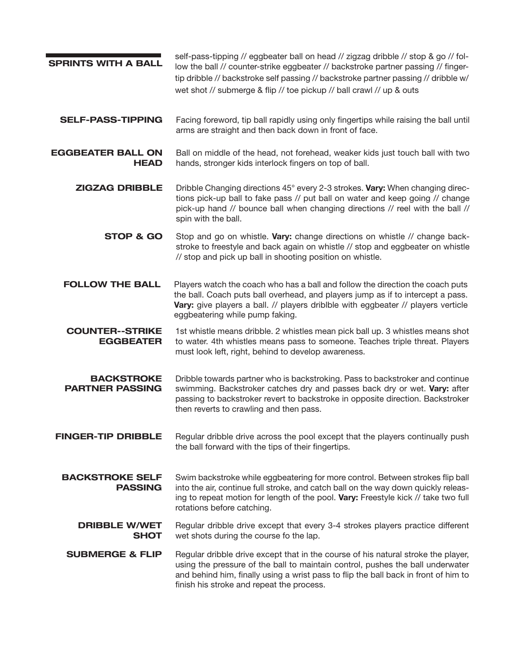| <b>SPRINTS WITH A BALL</b>                  | self-pass-tipping // eggbeater ball on head // zigzag dribble // stop & go // fol-<br>low the ball // counter-strike eggbeater // backstroke partner passing // finger-<br>tip dribble // backstroke self passing // backstroke partner passing // dribble w/<br>wet shot // submerge & flip // toe pickup // ball crawl // up & outs |
|---------------------------------------------|---------------------------------------------------------------------------------------------------------------------------------------------------------------------------------------------------------------------------------------------------------------------------------------------------------------------------------------|
| <b>SELF-PASS-TIPPING</b>                    | Facing foreword, tip ball rapidly using only fingertips while raising the ball until<br>arms are straight and then back down in front of face.                                                                                                                                                                                        |
| <b>EGGBEATER BALL ON</b><br><b>HEAD</b>     | Ball on middle of the head, not forehead, weaker kids just touch ball with two<br>hands, stronger kids interlock fingers on top of ball.                                                                                                                                                                                              |
| <b>ZIGZAG DRIBBLE</b>                       | Dribble Changing directions 45° every 2-3 strokes. Vary: When changing direc-<br>tions pick-up ball to fake pass // put ball on water and keep going // change<br>pick-up hand // bounce ball when changing directions // reel with the ball //<br>spin with the ball.                                                                |
| <b>STOP &amp; GO</b>                        | Stop and go on whistle. Vary: change directions on whistle // change back-<br>stroke to freestyle and back again on whistle // stop and eggbeater on whistle<br>// stop and pick up ball in shooting position on whistle.                                                                                                             |
| <b>FOLLOW THE BALL</b>                      | Players watch the coach who has a ball and follow the direction the coach puts<br>the ball. Coach puts ball overhead, and players jump as if to intercept a pass.<br>Vary: give players a ball. // players driblble with eggbeater // players verticle<br>eggbeatering while pump faking.                                             |
| <b>COUNTER--STRIKE</b><br><b>EGGBEATER</b>  | 1st whistle means dribble. 2 whistles mean pick ball up. 3 whistles means shot<br>to water. 4th whistles means pass to someone. Teaches triple threat. Players<br>must look left, right, behind to develop awareness.                                                                                                                 |
| <b>BACKSTROKE</b><br><b>PARTNER PASSING</b> | Dribble towards partner who is backstroking. Pass to backstroker and continue<br>swimming. Backstroker catches dry and passes back dry or wet. Vary: after<br>passing to backstroker revert to backstroke in opposite direction. Backstroker<br>then reverts to crawling and then pass.                                               |
| <b>FINGER-TIP DRIBBLE</b>                   | Regular dribble drive across the pool except that the players continually push<br>the ball forward with the tips of their fingertips.                                                                                                                                                                                                 |
| <b>BACKSTROKE SELF</b><br><b>PASSING</b>    | Swim backstroke while eggbeatering for more control. Between strokes flip ball<br>into the air, continue full stroke, and catch ball on the way down quickly releas-<br>ing to repeat motion for length of the pool. Vary: Freestyle kick // take two full<br>rotations before catching.                                              |
| <b>DRIBBLE W/WET</b><br><b>SHOT</b>         | Regular dribble drive except that every 3-4 strokes players practice different<br>wet shots during the course fo the lap.                                                                                                                                                                                                             |
| <b>SUBMERGE &amp; FLIP</b>                  | Regular dribble drive except that in the course of his natural stroke the player,<br>using the pressure of the ball to maintain control, pushes the ball underwater<br>and behind him, finally using a wrist pass to flip the ball back in front of him to<br>finish his stroke and repeat the process.                               |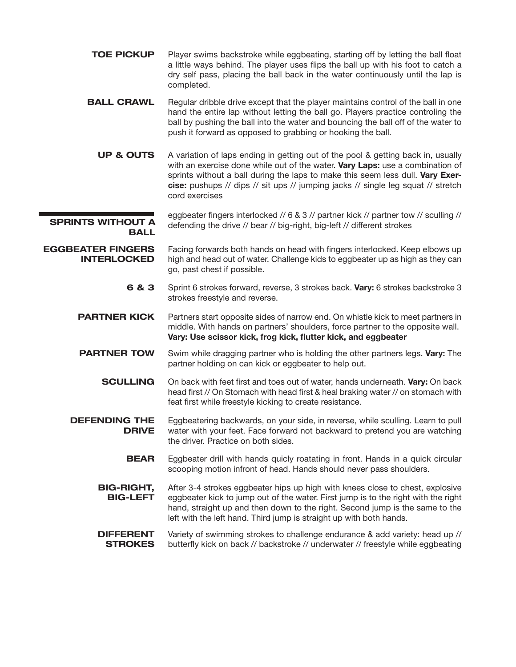TOE PICKUP Player swims backstroke while eggbeating, starting off by letting the ball float a little ways behind. The player uses flips the ball up with his foot to catch a dry self pass, placing the ball back in the water continuously until the lap is completed.

**BALL CRAWL** Regular dribble drive except that the player maintains control of the ball in one hand the entire lap without letting the ball go. Players practice controling the ball by pushing the ball into the water and bouncing the ball off of the water to push it forward as opposed to grabbing or hooking the ball.

- UP & OUTS A variation of laps ending in getting out of the pool & getting back in, usually with an exercise done while out of the water. Vary Laps: use a combination of sprints without a ball during the laps to make this seem less dull. Vary Exercise: pushups // dips // sit ups // jumping jacks // single leg squat // stretch cord exercises
- SPRINTS WITHOUT A **BALL** eggbeater fingers interlocked // 6 & 3 // partner kick // partner tow // sculling // defending the drive // bear // big-right, big-left // different strokes

EGGBEATER FINGERS INTERLOCKED Facing forwards both hands on head with fingers interlocked. Keep elbows up high and head out of water. Challenge kids to eggbeater up as high as they can go, past chest if possible.

> 6 & 3 Sprint 6 strokes forward, reverse, 3 strokes back. Vary: 6 strokes backstroke 3 strokes freestyle and reverse.

**PARTNER KICK** Partners start opposite sides of narrow end. On whistle kick to meet partners in middle. With hands on partners' shoulders, force partner to the opposite wall. Vary: Use scissor kick, frog kick, flutter kick, and eggbeater

- **PARTNER TOW** Swim while dragging partner who is holding the other partners legs. Vary: The partner holding on can kick or eggbeater to help out.
	- **SCULLING** On back with feet first and toes out of water, hands underneath. Vary: On back head first // On Stomach with head first & heal braking water // on stomach with feat first while freestyle kicking to create resistance.
- DEFENDING THE DRIVE Eggbeatering backwards, on your side, in reverse, while sculling. Learn to pull water with your feet. Face forward not backward to pretend you are watching the driver. Practice on both sides.
	- **BEAR** Eggbeater drill with hands quicly roatating in front. Hands in a quick circular scooping motion infront of head. Hands should never pass shoulders.
	- BIG-RIGHT, BIG-LEFT After 3-4 strokes eggbeater hips up high with knees close to chest, explosive eggbeater kick to jump out of the water. First jump is to the right with the right hand, straight up and then down to the right. Second jump is the same to the left with the left hand. Third jump is straight up with both hands.
	- **DIFFERENT STROKES** Variety of swimming strokes to challenge endurance & add variety: head up // butterfly kick on back // backstroke // underwater // freestyle while eggbeating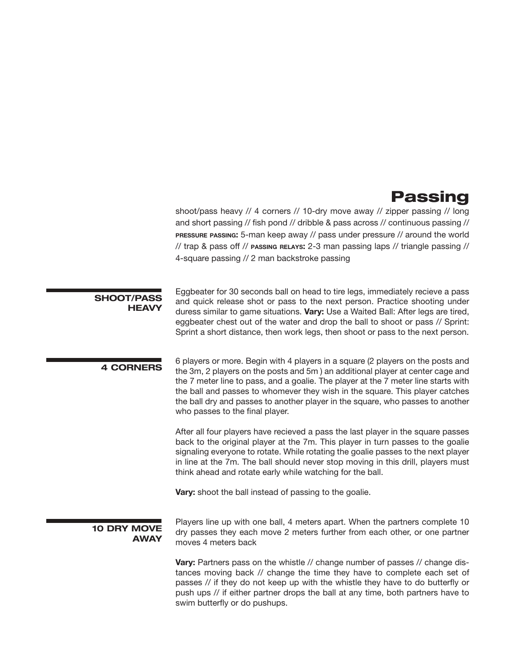### Passing

shoot/pass heavy // 4 corners // 10-dry move away // zipper passing // long and short passing // fish pond // dribble & pass across // continuous passing // pressure passing: 5-man keep away // pass under pressure // around the world // trap & pass off // passing relays: 2-3 man passing laps // triangle passing // 4-square passing // 2 man backstroke passing

| <b>SHOOT/PASS</b><br><b>HEAVY</b> | Eggbeater for 30 seconds ball on head to tire legs, immediately recieve a pass<br>and quick release shot or pass to the next person. Practice shooting under<br>duress similar to game situations. Vary: Use a Waited Ball: After legs are tired,<br>eggbeater chest out of the water and drop the ball to shoot or pass // Sprint:<br>Sprint a short distance, then work legs, then shoot or pass to the next person.                                       |
|-----------------------------------|--------------------------------------------------------------------------------------------------------------------------------------------------------------------------------------------------------------------------------------------------------------------------------------------------------------------------------------------------------------------------------------------------------------------------------------------------------------|
| <b>4 CORNERS</b>                  | 6 players or more. Begin with 4 players in a square (2 players on the posts and<br>the 3m, 2 players on the posts and 5m) an additional player at center cage and<br>the 7 meter line to pass, and a goalie. The player at the 7 meter line starts with<br>the ball and passes to whomever they wish in the square. This player catches<br>the ball dry and passes to another player in the square, who passes to another<br>who passes to the final player. |
|                                   | After all four players have recieved a pass the last player in the square passes<br>back to the original player at the 7m. This player in turn passes to the goalie<br>signaling everyone to rotate. While rotating the goalie passes to the next player<br>in line at the 7m. The ball should never stop moving in this drill, players must<br>think ahead and rotate early while watching for the ball.                                                    |
|                                   | Vary: shoot the ball instead of passing to the goalie.                                                                                                                                                                                                                                                                                                                                                                                                       |
| <b>10 DRY MOVE</b><br><b>AWAY</b> | Players line up with one ball, 4 meters apart. When the partners complete 10<br>dry passes they each move 2 meters further from each other, or one partner<br>moves 4 meters back                                                                                                                                                                                                                                                                            |
|                                   | Vary: Partners pass on the whistle // change number of passes // change dis-<br>tances moving back // change the time they have to complete each set of<br>passes // if they do not keep up with the whistle they have to do butterfly or<br>push ups // if either partner drops the ball at any time, both partners have to<br>swim butterfly or do pushups.                                                                                                |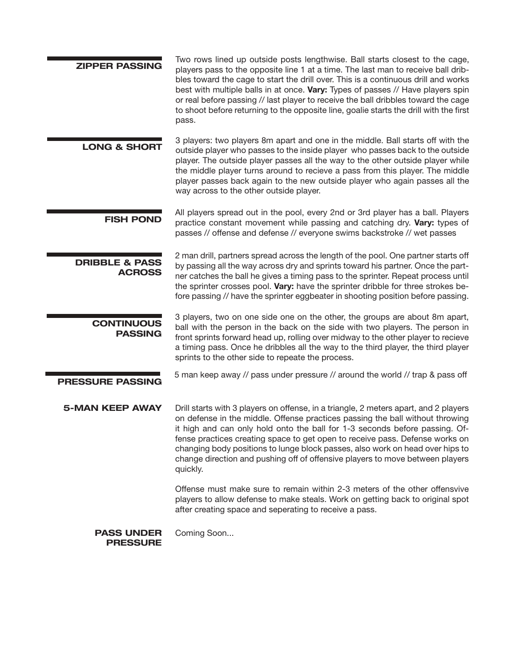| <b>ZIPPER PASSING</b>                      | Two rows lined up outside posts lengthwise. Ball starts closest to the cage,<br>players pass to the opposite line 1 at a time. The last man to receive ball drib-<br>bles toward the cage to start the drill over. This is a continuous drill and works<br>best with multiple balls in at once. Vary: Types of passes // Have players spin<br>or real before passing // last player to receive the ball dribbles toward the cage<br>to shoot before returning to the opposite line, goalie starts the drill with the first<br>pass. |
|--------------------------------------------|-------------------------------------------------------------------------------------------------------------------------------------------------------------------------------------------------------------------------------------------------------------------------------------------------------------------------------------------------------------------------------------------------------------------------------------------------------------------------------------------------------------------------------------|
| <b>LONG &amp; SHORT</b>                    | 3 players: two players 8m apart and one in the middle. Ball starts off with the<br>outside player who passes to the inside player who passes back to the outside<br>player. The outside player passes all the way to the other outside player while<br>the middle player turns around to recieve a pass from this player. The middle<br>player passes back again to the new outside player who again passes all the<br>way across to the other outside player.                                                                      |
| <b>FISH POND</b>                           | All players spread out in the pool, every 2nd or 3rd player has a ball. Players<br>practice constant movement while passing and catching dry. Vary: types of<br>passes // offense and defense // everyone swims backstroke // wet passes                                                                                                                                                                                                                                                                                            |
| <b>DRIBBLE &amp; PASS</b><br><b>ACROSS</b> | 2 man drill, partners spread across the length of the pool. One partner starts off<br>by passing all the way across dry and sprints toward his partner. Once the part-<br>ner catches the ball he gives a timing pass to the sprinter. Repeat process until<br>the sprinter crosses pool. Vary: have the sprinter dribble for three strokes be-<br>fore passing // have the sprinter eggbeater in shooting position before passing.                                                                                                 |
| <b>CONTINUOUS</b><br><b>PASSING</b>        | 3 players, two on one side one on the other, the groups are about 8m apart,<br>ball with the person in the back on the side with two players. The person in<br>front sprints forward head up, rolling over midway to the other player to recieve<br>a timing pass. Once he dribbles all the way to the third player, the third player<br>sprints to the other side to repeate the process.                                                                                                                                          |
| <b>PRESSURE PASSING</b>                    | 5 man keep away // pass under pressure // around the world // trap & pass off                                                                                                                                                                                                                                                                                                                                                                                                                                                       |
| <b>5-MAN KEEP AWAY</b>                     | Drill starts with 3 players on offense, in a triangle, 2 meters apart, and 2 players<br>on defense in the middle. Offense practices passing the ball without throwing<br>it high and can only hold onto the ball for 1-3 seconds before passing. Of-<br>fense practices creating space to get open to receive pass. Defense works on<br>changing body positions to lunge block passes, also work on head over hips to<br>change direction and pushing off of offensive players to move between players<br>quickly.                  |
|                                            | Offense must make sure to remain within 2-3 meters of the other offensvive<br>players to allow defense to make steals. Work on getting back to original spot<br>after creating space and seperating to receive a pass.                                                                                                                                                                                                                                                                                                              |
| <b>PASS UNDER</b><br><b>PRESSURE</b>       | Coming Soon                                                                                                                                                                                                                                                                                                                                                                                                                                                                                                                         |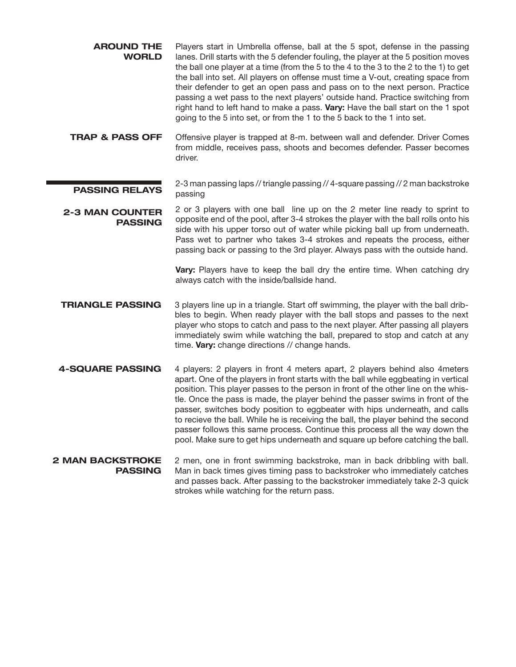| <b>AROUND THE</b><br><b>WORLD</b>         | Players start in Umbrella offense, ball at the 5 spot, defense in the passing<br>lanes. Drill starts with the 5 defender fouling, the player at the 5 position moves<br>the ball one player at a time (from the 5 to the 4 to the 3 to the 2 to the 1) to get<br>the ball into set. All players on offense must time a V-out, creating space from<br>their defender to get an open pass and pass on to the next person. Practice<br>passing a wet pass to the next players' outside hand. Practice switching from<br>right hand to left hand to make a pass. Vary: Have the ball start on the 1 spot<br>going to the 5 into set, or from the 1 to the 5 back to the 1 into set.    |
|-------------------------------------------|------------------------------------------------------------------------------------------------------------------------------------------------------------------------------------------------------------------------------------------------------------------------------------------------------------------------------------------------------------------------------------------------------------------------------------------------------------------------------------------------------------------------------------------------------------------------------------------------------------------------------------------------------------------------------------|
| <b>TRAP &amp; PASS OFF</b>                | Offensive player is trapped at 8-m. between wall and defender. Driver Comes<br>from middle, receives pass, shoots and becomes defender. Passer becomes<br>driver.                                                                                                                                                                                                                                                                                                                                                                                                                                                                                                                  |
| <b>PASSING RELAYS</b>                     | 2-3 man passing laps // triangle passing // 4-square passing // 2 man backstroke<br>passing                                                                                                                                                                                                                                                                                                                                                                                                                                                                                                                                                                                        |
| <b>2-3 MAN COUNTER</b><br><b>PASSING</b>  | 2 or 3 players with one ball line up on the 2 meter line ready to sprint to<br>opposite end of the pool, after 3-4 strokes the player with the ball rolls onto his<br>side with his upper torso out of water while picking ball up from underneath.<br>Pass wet to partner who takes 3-4 strokes and repeats the process, either<br>passing back or passing to the 3rd player. Always pass with the outside hand.<br>Vary: Players have to keep the ball dry the entire time. When catching dry<br>always catch with the inside/ballside hand.                                                                                                                                     |
| <b>TRIANGLE PASSING</b>                   | 3 players line up in a triangle. Start off swimming, the player with the ball drib-<br>bles to begin. When ready player with the ball stops and passes to the next<br>player who stops to catch and pass to the next player. After passing all players<br>immediately swim while watching the ball, prepared to stop and catch at any<br>time. Vary: change directions // change hands.                                                                                                                                                                                                                                                                                            |
| <b>4-SQUARE PASSING</b>                   | 4 players: 2 players in front 4 meters apart, 2 players behind also 4 meters<br>apart. One of the players in front starts with the ball while eggbeating in vertical<br>position. This player passes to the person in front of the other line on the whis-<br>tle. Once the pass is made, the player behind the passer swims in front of the<br>passer, switches body position to eggbeater with hips underneath, and calls<br>to recieve the ball. While he is receiving the ball, the player behind the second<br>passer follows this same process. Continue this process all the way down the<br>pool. Make sure to get hips underneath and square up before catching the ball. |
| <b>2 MAN BACKSTROKE</b><br><b>PASSING</b> | 2 men, one in front swimming backstroke, man in back dribbling with ball.<br>Man in back times gives timing pass to backstroker who immediately catches<br>and passes back. After passing to the backstroker immediately take 2-3 quick<br>strokes while watching for the return pass.                                                                                                                                                                                                                                                                                                                                                                                             |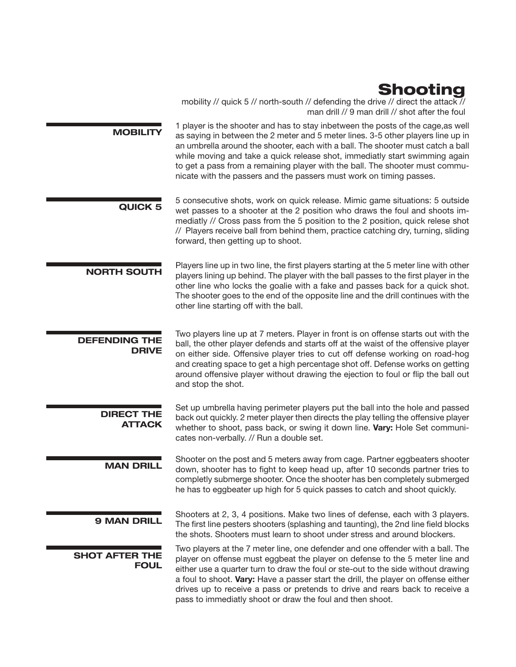### Shooting

mobility // quick 5 // north-south // defending the drive // direct the attack // man drill // 9 man drill // shot after the foul

1 player is the shooter and has to stay inbetween the posts of the cage, as well as saying in between the 2 meter and 5 meter lines. 3-5 other players line up in an umbrella around the shooter, each with a ball. The shooter must catch a ball while moving and take a quick release shot, immediatly start swimming again to get a pass from a remaining player with the ball. The shooter must communicate with the passers and the passers must work on timing passes.

- 5 consecutive shots, work on quick release. Mimic game situations: 5 outside<br>QUICK 5 work passes to a shooter at the 2 position who draws the foul and shoote imwet passes to a shooter at the 2 position who draws the foul and shoots immediatly // Cross pass from the 5 position to the 2 position, quick relese shot // Players receive ball from behind them, practice catching dry, turning, sliding forward, then getting up to shoot.
- Players line up in two line, the first players starting at the 5 meter line with other<br>
NORTH SOUTH Players lining up behind. The player with the hall passes to the first player in the players lining up behind. The player with the ball passes to the first player in the other line who locks the goalie with a fake and passes back for a quick shot. The shooter goes to the end of the opposite line and the drill continues with the other line starting off with the ball.

DEFENDING THE DRIVE Two players line up at 7 meters. Player in front is on offense starts out with the ball, the other player defends and starts off at the waist of the offensive player on either side. Offensive player tries to cut off defense working on road-hog and creating space to get a high percentage shot off. Defense works on getting around offensive player without drawing the ejection to foul or flip the ball out and stop the shot.

DIRECT THE ATTACK Set up umbrella having perimeter players put the ball into the hole and passed back out quickly. 2 meter player then directs the play telling the offensive player whether to shoot, pass back, or swing it down line. Vary: Hole Set communicates non-verbally. // Run a double set.

Shooter on the post and 5 meters away from cage. Partner eggbeaters shooter<br>MAN DRILL down, shooter has to fight to keep head up, after 10 seconds partner tries to completly submerge shooter. Once the shooter has ben completely submerged he has to eggbeater up high for 5 quick passes to catch and shoot quickly.

Shooters at 2, 3, 4 positions. Make two lines of defense, each with 3 players.<br>**9 MAN DRILL** The first line postage obsets a (polarbing and teuring), the Ond line field blacks The first line pesters shooters (splashing and taunting), the 2nd line field blocks the shots. Shooters must learn to shoot under stress and around blockers.

SHOT AFTER THE FOUL Two players at the 7 meter line, one defender and one offender with a ball. The player on offense must eggbeat the player on defense to the 5 meter line and either use a quarter turn to draw the foul or ste-out to the side without drawing a foul to shoot. Vary: Have a passer start the drill, the player on offense either drives up to receive a pass or pretends to drive and rears back to receive a pass to immediatly shoot or draw the foul and then shoot.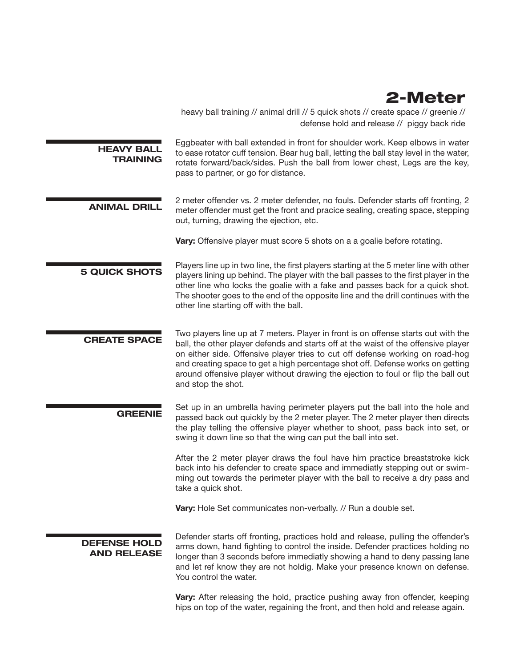### 2-Meter

heavy ball training // animal drill // 5 quick shots // create space // greenie // defense hold and release // piggy back ride

| <b>HEAVY BALL</b><br><b>TRAINING</b> | Eggbeater with ball extended in front for shoulder work. Keep elbows in water<br>to ease rotator cuff tension. Bear hug ball, letting the ball stay level in the water,<br>rotate forward/back/sides. Push the ball from lower chest, Legs are the key,<br>pass to partner, or go for distance. |
|--------------------------------------|-------------------------------------------------------------------------------------------------------------------------------------------------------------------------------------------------------------------------------------------------------------------------------------------------|
|--------------------------------------|-------------------------------------------------------------------------------------------------------------------------------------------------------------------------------------------------------------------------------------------------------------------------------------------------|

2 meter offender vs. 2 meter defender, no fouls. Defender starts off fronting, 2 meter offender must get the front and pracice sealing, creating space, stepping out, turning, drawing the ejection, etc.

Vary: Offensive player must score 5 shots on a a goalie before rotating.

**5 QUICK SHOTS** Players line up in two line, the first players starting at the 5 meter line with other<br>5 QUICK SHOTS players lining up behind. The player with the hall passes to the first player in the players lining up behind. The player with the ball passes to the first player in the other line who locks the goalie with a fake and passes back for a quick shot. The shooter goes to the end of the opposite line and the drill continues with the other line starting off with the ball.

Two players line up at 7 meters. Player in front is on offense starts out with the<br>
CREATE SPACE ball, the other player defends and starts off at the waist of the offensive player on either side. Offensive player tries to cut off defense working on road-hog and creating space to get a high percentage shot off. Defense works on getting around offensive player without drawing the ejection to foul or flip the ball out and stop the shot.

Set up in an umbrella having perimeter players put the ball into the hole and<br> **GREENIE** access healt and multiple had been almost the Constantinoplayers have almost a directe passed back out quickly by the 2 meter player. The 2 meter player then directs the play telling the offensive player whether to shoot, pass back into set, or swing it down line so that the wing can put the ball into set.

> After the 2 meter player draws the foul have him practice breaststroke kick back into his defender to create space and immediatly stepping out or swimming out towards the perimeter player with the ball to receive a dry pass and take a quick shot.

**Vary:** Hole Set communicates non-verbally. // Run a double set.

DEFENSE HOLD AND RELEASE Defender starts off fronting, practices hold and release, pulling the offender's arms down, hand fighting to control the inside. Defender practices holding no longer than 3 seconds before immediatly showing a hand to deny passing lane and let ref know they are not holdig. Make your presence known on defense. You control the water.

Vary: After releasing the hold, practice pushing away fron offender, keeping hips on top of the water, regaining the front, and then hold and release again.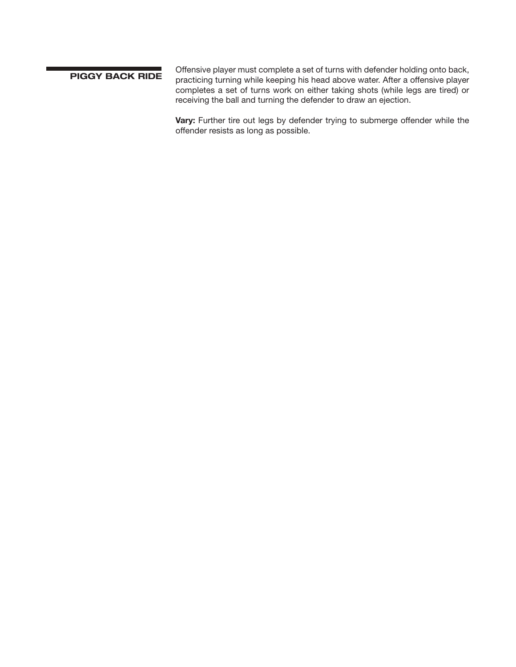Offensive player must complete a set of turns with defender holding onto back,<br>PIGGY BACK RIDE recetions turning while keeping his boad above water. After a offensive player practicing turning while keeping his head above water. After a offensive player completes a set of turns work on either taking shots (while legs are tired) or receiving the ball and turning the defender to draw an ejection.

> Vary: Further tire out legs by defender trying to submerge offender while the offender resists as long as possible.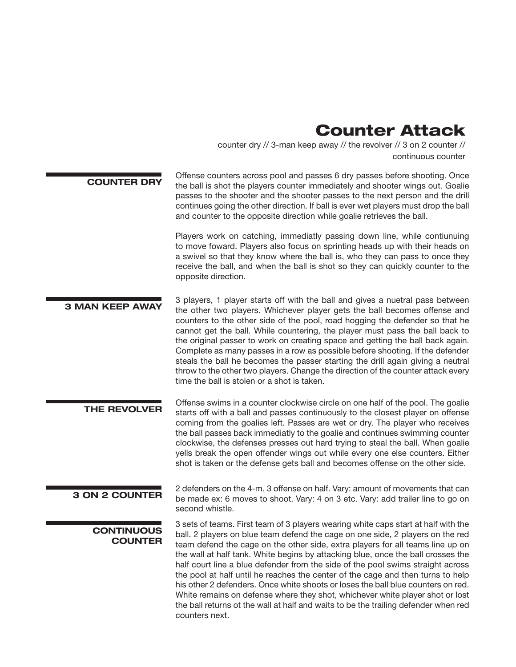#### Counter Attack

counter dry // 3-man keep away // the revolver // 3 on 2 counter // continuous counter

COUNTER DRY Offense counters across pool and passes 6 dry passes before shooting. Once the ball is shot the players counter immediately and shooter wings out. Goalie passes to the shooter and the shooter passes to the next person and the drill continues going the other direction. If ball is ever wet players must drop the ball and counter to the opposite direction while goalie retrieves the ball.

> Players work on catching, immediatly passing down line, while contiunuing to move foward. Players also focus on sprinting heads up with their heads on a swivel so that they know where the ball is, who they can pass to once they receive the ball, and when the ball is shot so they can quickly counter to the opposite direction.

3 players, 1 player starts off with the ball and gives a nuetral pass between<br>3 MAN KEEP AWAY the other two players Minishayer player asts the ball because officers and the other two players. Whichever player gets the ball becomes offense and counters to the other side of the pool, road hogging the defender so that he cannot get the ball. While countering, the player must pass the ball back to the original passer to work on creating space and getting the ball back again. Complete as many passes in a row as possible before shooting. If the defender steals the ball he becomes the passer starting the drill again giving a neutral throw to the other two players. Change the direction of the counter attack every time the ball is stolen or a shot is taken.

Offense swims in a counter clockwise circle on one half of the pool. The goalie<br>THE REVOLVER at the official of half and access continuously to the closest player as offered starts off with a ball and passes continuously to the closest player on offense coming from the goalies left. Passes are wet or dry. The player who receives the ball passes back immediatly to the goalie and continues swimming counter clockwise, the defenses presses out hard trying to steal the ball. When goalie yells break the open offender wings out while every one else counters. Either shot is taken or the defense gets ball and becomes offense on the other side.

2 defenders on the 4-m. 3 offense on half. Vary: amount of movements that can<br>3 ON 2 COUNTER be made ave 6 movements that  $\frac{1}{2}$  on 2 at a Vary: and trailer line to go an be made ex: 6 moves to shoot. Vary: 4 on 3 etc. Vary: add trailer line to go on second whistle.

**CONTINUOUS COUNTER**  3 sets of teams. First team of 3 players wearing white caps start at half with the ball. 2 players on blue team defend the cage on one side, 2 players on the red team defend the cage on the other side, extra players for all teams line up on the wall at half tank. White begins by attacking blue, once the ball crosses the half court line a blue defender from the side of the pool swims straight across the pool at half until he reaches the center of the cage and then turns to help his other 2 defenders. Once white shoots or loses the ball blue counters on red. White remains on defense where they shot, whichever white player shot or lost the ball returns ot the wall at half and waits to be the trailing defender when red counters next.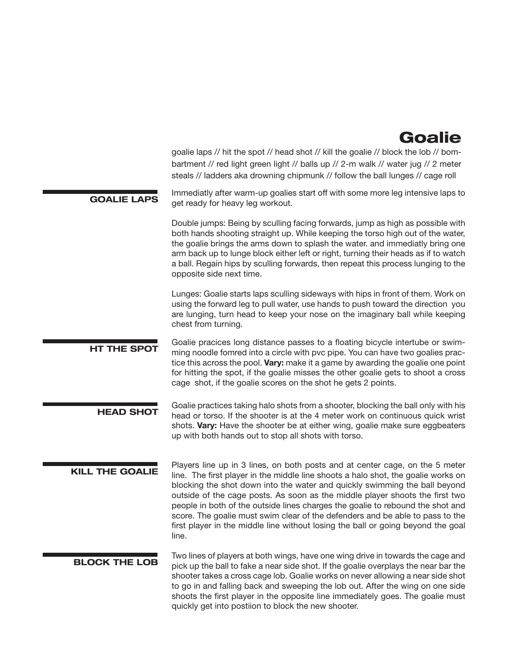#### Goalie

goalie laps // hit the spot // head shot // kill the goalie // block the lob // bombartment // red light green light // balls up // 2-m walk // water jug // 2 meter steals // ladders aka drowning chipmunk // follow the ball lunges // cage roll

Immediatly after warm-up goalies start off with some more leg intensive laps to<br>
GOALIE LAPS and ready for boary log worker to get ready for heavy leg workout.

> Double jumps: Being by sculling facing forwards, jump as high as possible with both hands shooting straight up. While keeping the torso high out of the water, the goalie brings the arms down to splash the water. and immediatly bring one arm back up to lunge block either left or right, turning their heads as if to watch a ball. Regain hips by sculling forwards, then repeat this process lunging to the opposite side next time.

> Lunges: Goalie starts laps sculling sideways with hips in front of them. Work on using the forward leg to pull water, use hands to push toward the direction you are lunging, turn head to keep your nose on the imaginary ball while keeping chest from turning.

- Goalie pracices long distance passes to a floating bicycle intertube or swim-<br>HT THE SPOT expression procedule forward into a simple with averaince You are bounding proline against ming noodle fomred into a circle with pvc pipe. You can have two goalies practice this across the pool. Vary: make it a game by awarding the goalie one point for hitting the spot, if the goalie misses the other goalie gets to shoot a cross cage shot, if the goalie scores on the shot he gets 2 points.
- Goalie practices taking halo shots from a shooter, blocking the ball only with his head or torso. If the shooter is at the 4 meter work on continuous quick wrist shots. Vary: Have the shooter be at either wing, goalie make sure eggbeaters up with both hands out to stop all shots with torso.
- Players line up in 3 lines, on both posts and at center cage, on the 5 meter<br>KILL THE GOALIE is the first player in the middle line about a bela about the goalie was an line. The first player in the middle line shoots a halo shot, the goalie works on blocking the shot down into the water and quickly swimming the ball beyond outside of the cage posts. As soon as the middle player shoots the first two people in both of the outside lines charges the goalie to rebound the shot and score. The goalie must swim clear of the defenders and be able to pass to the first player in the middle line without losing the ball or going beyond the goal line.
	- Two lines of players at both wings, have one wing drive in towards the cage and<br>BLOCK THE LOB pick up the ball to fake a near side shot. If the goalie overplays the near bar the shooter takes a cross cage lob. Goalie works on never allowing a near side shot to go in and falling back and sweeping the lob out. After the wing on one side shoots the first player in the opposite line immediately goes. The goalie must quickly get into postiion to block the new shooter.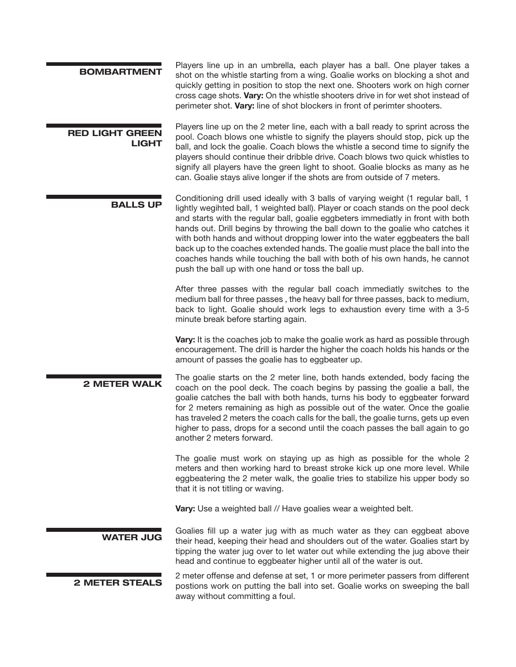| <b>BOMBARTMENT</b>                     | Players line up in an umbrella, each player has a ball. One player takes a<br>shot on the whistle starting from a wing. Goalie works on blocking a shot and<br>quickly getting in position to stop the next one. Shooters work on high corner<br>cross cage shots. Vary: On the whistle shooters drive in for wet shot instead of<br>perimeter shot. Vary: line of shot blockers in front of perimter shooters.                                                                                                                                                                                                                                      |
|----------------------------------------|------------------------------------------------------------------------------------------------------------------------------------------------------------------------------------------------------------------------------------------------------------------------------------------------------------------------------------------------------------------------------------------------------------------------------------------------------------------------------------------------------------------------------------------------------------------------------------------------------------------------------------------------------|
| <b>RED LIGHT GREEN</b><br><b>LIGHT</b> | Players line up on the 2 meter line, each with a ball ready to sprint across the<br>pool. Coach blows one whistle to signify the players should stop, pick up the<br>ball, and lock the goalie. Coach blows the whistle a second time to signify the<br>players should continue their dribble drive. Coach blows two quick whistles to<br>signify all players have the green light to shoot. Goalie blocks as many as he<br>can. Goalie stays alive longer if the shots are from outside of 7 meters.                                                                                                                                                |
| <b>BALLS UP</b>                        | Conditioning drill used ideally with 3 balls of varying weight (1 regular ball, 1<br>lightly wegihted ball, 1 weighted ball). Player or coach stands on the pool deck<br>and starts with the regular ball, goalie eggbeters immediatly in front with both<br>hands out. Drill begins by throwing the ball down to the goalie who catches it<br>with both hands and without dropping lower into the water eggbeaters the ball<br>back up to the coaches extended hands. The goalie must place the ball into the<br>coaches hands while touching the ball with both of his own hands, he cannot<br>push the ball up with one hand or toss the ball up. |
|                                        | After three passes with the regular ball coach immediatly switches to the<br>medium ball for three passes, the heavy ball for three passes, back to medium,<br>back to light. Goalie should work legs to exhaustion every time with a 3-5<br>minute break before starting again.                                                                                                                                                                                                                                                                                                                                                                     |
|                                        | Vary: It is the coaches job to make the goalie work as hard as possible through<br>encouragement. The drill is harder the higher the coach holds his hands or the<br>amount of passes the goalie has to eggbeater up.                                                                                                                                                                                                                                                                                                                                                                                                                                |
| <b>2 METER WALK</b>                    | The goalie starts on the 2 meter line, both hands extended, body facing the<br>coach on the pool deck. The coach begins by passing the goalie a ball, the<br>goalie catches the ball with both hands, turns his body to eggbeater forward<br>for 2 meters remaining as high as possible out of the water. Once the goalie<br>has traveled 2 meters the coach calls for the ball, the goalie turns, gets up even<br>higher to pass, drops for a second until the coach passes the ball again to go<br>another 2 meters forward.                                                                                                                       |
|                                        | The goalie must work on staying up as high as possible for the whole 2<br>meters and then working hard to breast stroke kick up one more level. While<br>eggbeatering the 2 meter walk, the goalie tries to stabilize his upper body so<br>that it is not titling or waving.                                                                                                                                                                                                                                                                                                                                                                         |
|                                        | <b>Vary:</b> Use a weighted ball // Have goalies wear a weighted belt.                                                                                                                                                                                                                                                                                                                                                                                                                                                                                                                                                                               |
| <b>WATER JUG</b>                       | Goalies fill up a water jug with as much water as they can eggbeat above<br>their head, keeping their head and shoulders out of the water. Goalies start by<br>tipping the water jug over to let water out while extending the jug above their<br>head and continue to eggbeater higher until all of the water is out.                                                                                                                                                                                                                                                                                                                               |
| <b>2 METER STEALS</b>                  | 2 meter offense and defense at set, 1 or more perimeter passers from different<br>postions work on putting the ball into set. Goalie works on sweeping the ball<br>away without committing a foul.                                                                                                                                                                                                                                                                                                                                                                                                                                                   |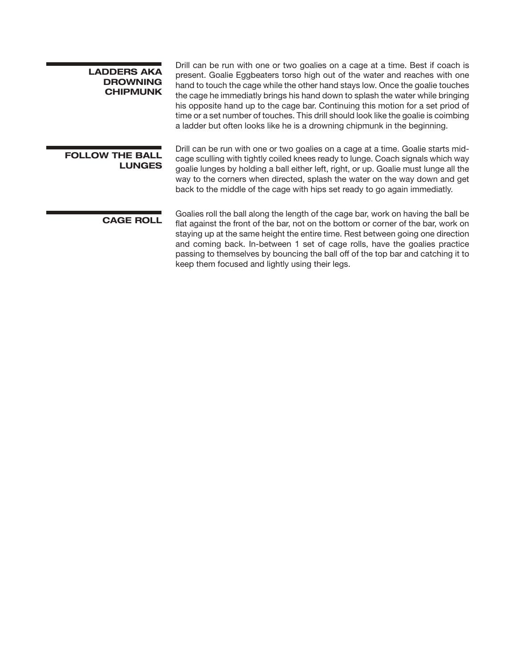| <b>LADDERS AKA</b><br><b>DROWNING</b><br><b>CHIPMUNK</b> | Drill can be run with one or two goalies on a cage at a time. Best if coach is<br>present. Goalie Eggbeaters torso high out of the water and reaches with one<br>hand to touch the cage while the other hand stays low. Once the goalie touches<br>the cage he immediatly brings his hand down to splash the water while bringing<br>his opposite hand up to the cage bar. Continuing this motion for a set priod of<br>time or a set number of touches. This drill should look like the goalie is coimbing<br>a ladder but often looks like he is a drowning chipmunk in the beginning. |
|----------------------------------------------------------|------------------------------------------------------------------------------------------------------------------------------------------------------------------------------------------------------------------------------------------------------------------------------------------------------------------------------------------------------------------------------------------------------------------------------------------------------------------------------------------------------------------------------------------------------------------------------------------|
| <b>FOLLOW THE BALL</b><br><b>LUNGES</b>                  | Drill can be run with one or two goalies on a cage at a time. Goalie starts mid-<br>cage sculling with tightly coiled knees ready to lunge. Coach signals which way<br>goalie lunges by holding a ball either left, right, or up. Goalie must lunge all the<br>way to the corners when directed, splash the water on the way down and get<br>back to the middle of the cage with hips set ready to go again immediatly.                                                                                                                                                                  |
| <b>CAGE ROLL</b>                                         | Goalies roll the ball along the length of the cage bar, work on having the ball be<br>flat against the front of the bar, not on the bottom or corner of the bar, work on<br>staying up at the same height the entire time. Rest between going one direction<br>and coming back. In-between 1 set of cage rolls, have the goalies practice<br>passing to themselves by bouncing the ball off of the top bar and catching it to                                                                                                                                                            |

keep them focused and lightly using their legs.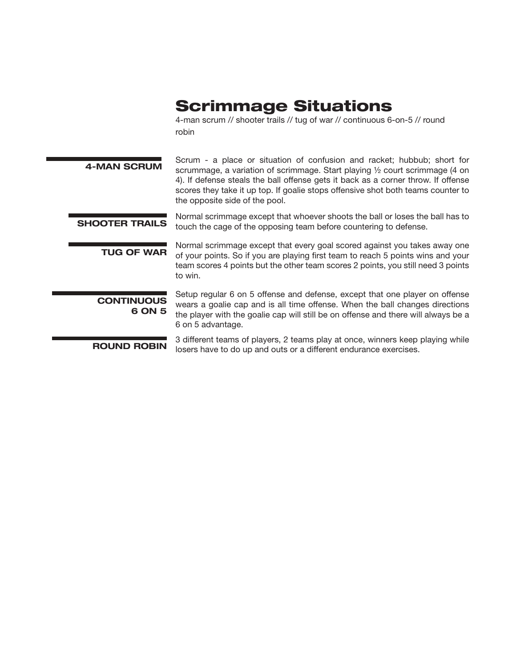## Scrimmage Situations

4-man scrum // shooter trails // tug of war // continuous 6-on-5 // round robin

| <b>4-MAN SCRUM</b>          | Scrum - a place or situation of confusion and racket; hubbub; short for<br>scrummage, a variation of scrimmage. Start playing 1/2 court scrimmage (4 on<br>4). If defense steals the ball offense gets it back as a corner throw. If offense<br>scores they take it up top. If goalie stops offensive shot both teams counter to<br>the opposite side of the pool. |
|-----------------------------|--------------------------------------------------------------------------------------------------------------------------------------------------------------------------------------------------------------------------------------------------------------------------------------------------------------------------------------------------------------------|
| <b>SHOOTER TRAILS</b>       | Normal scrimmage except that whoever shoots the ball or loses the ball has to<br>touch the cage of the opposing team before countering to defense.                                                                                                                                                                                                                 |
| <b>TUG OF WAR</b>           | Normal scrimmage except that every goal scored against you takes away one<br>of your points. So if you are playing first team to reach 5 points wins and your<br>team scores 4 points but the other team scores 2 points, you still need 3 points<br>to win.                                                                                                       |
| <b>CONTINUOUS</b><br>6 ON 5 | Setup regular 6 on 5 offense and defense, except that one player on offense<br>wears a goalie cap and is all time offense. When the ball changes directions<br>the player with the goalie cap will still be on offense and there will always be a<br>6 on 5 advantage.                                                                                             |
| <b>ROUND ROBIN</b>          | 3 different teams of players, 2 teams play at once, winners keep playing while<br>losers have to do up and outs or a different endurance exercises.                                                                                                                                                                                                                |